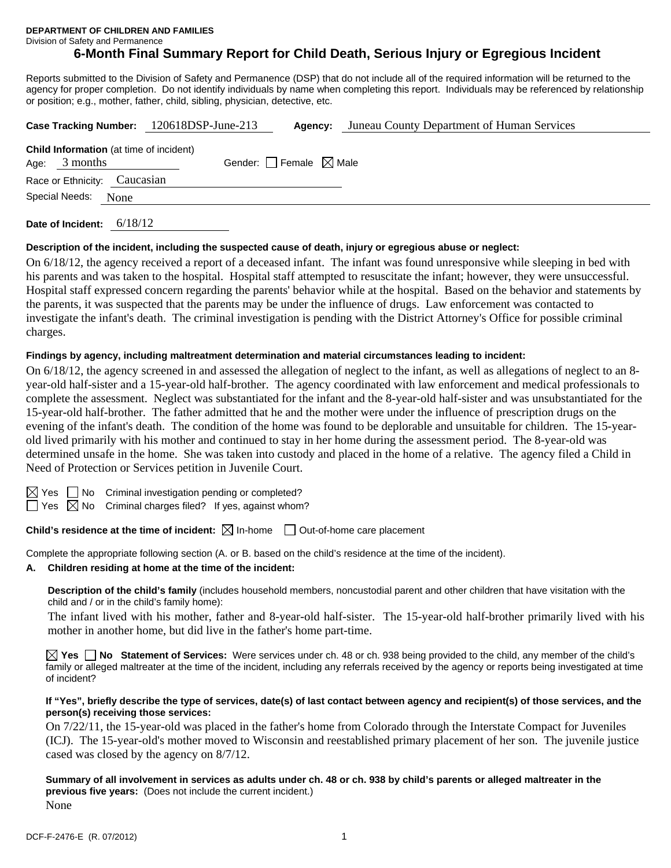**DEPARTMENT OF CHILDREN AND FAMILIES** 

Division of Safety and Permanence

# **6-Month Final Summary Report for Child Death, Serious Injury or Egregious Incident**

Reports submitted to the Division of Safety and Permanence (DSP) that do not include all of the required information will be returned to the agency for proper completion. Do not identify individuals by name when completing this report. Individuals may be referenced by relationship or position; e.g., mother, father, child, sibling, physician, detective, etc.

| Case Tracking Number: 120618DSP-June-213       |                                 | Agency: | Juneau County Department of Human Services |
|------------------------------------------------|---------------------------------|---------|--------------------------------------------|
| <b>Child Information</b> (at time of incident) |                                 |         |                                            |
| 3 months<br>Age:                               | Gender: Female $\boxtimes$ Male |         |                                            |
| Race or Ethnicity: Caucasian                   |                                 |         |                                            |
| Special Needs:<br>None                         |                                 |         |                                            |
| 6/18/12<br>Date of Incident:                   |                                 |         |                                            |

#### **Description of the incident, including the suspected cause of death, injury or egregious abuse or neglect:**

On 6/18/12, the agency received a report of a deceased infant. The infant was found unresponsive while sleeping in bed with his parents and was taken to the hospital. Hospital staff attempted to resuscitate the infant; however, they were unsuccessful. Hospital staff expressed concern regarding the parents' behavior while at the hospital. Based on the behavior and statements by the parents, it was suspected that the parents may be under the influence of drugs. Law enforcement was contacted to investigate the infant's death. The criminal investigation is pending with the District Attorney's Office for possible criminal charges.

### **Findings by agency, including maltreatment determination and material circumstances leading to incident:**

On 6/18/12, the agency screened in and assessed the allegation of neglect to the infant, as well as allegations of neglect to an 8 year-old half-sister and a 15-year-old half-brother. The agency coordinated with law enforcement and medical professionals to complete the assessment. Neglect was substantiated for the infant and the 8-year-old half-sister and was unsubstantiated for the 15-year-old half-brother. The father admitted that he and the mother were under the influence of prescription drugs on the evening of the infant's death. The condition of the home was found to be deplorable and unsuitable for children. The 15-yearold lived primarily with his mother and continued to stay in her home during the assessment period. The 8-year-old was determined unsafe in the home. She was taken into custody and placed in the home of a relative. The agency filed a Child in Need of Protection or Services petition in Juvenile Court.

|--|--|

 $\Box$  No Criminal investigation pending or completed?

 $\Box$  Yes  $\boxtimes$  No Criminal charges filed? If yes, against whom?

**Child's residence at the time of incident:**  $\boxtimes$  In-home  $\Box$  Out-of-home care placement

Complete the appropriate following section (A. or B. based on the child's residence at the time of the incident).

### **A. Children residing at home at the time of the incident:**

**Description of the child's family** (includes household members, noncustodial parent and other children that have visitation with the child and / or in the child's family home):

 The infant lived with his mother, father and 8-year-old half-sister. The 15-year-old half-brother primarily lived with his mother in another home, but did live in the father's home part-time.

**Yes No Statement of Services:** Were services under ch. 48 or ch. 938 being provided to the child, any member of the child's family or alleged maltreater at the time of the incident, including any referrals received by the agency or reports being investigated at time of incident?

#### **If "Yes", briefly describe the type of services, date(s) of last contact between agency and recipient(s) of those services, and the person(s) receiving those services:**

On 7/22/11, the 15-year-old was placed in the father's home from Colorado through the Interstate Compact for Juveniles (ICJ). The 15-year-old's mother moved to Wisconsin and reestablished primary placement of her son. The juvenile justice cased was closed by the agency on 8/7/12.

**Summary of all involvement in services as adults under ch. 48 or ch. 938 by child's parents or alleged maltreater in the previous five years:** (Does not include the current incident.) None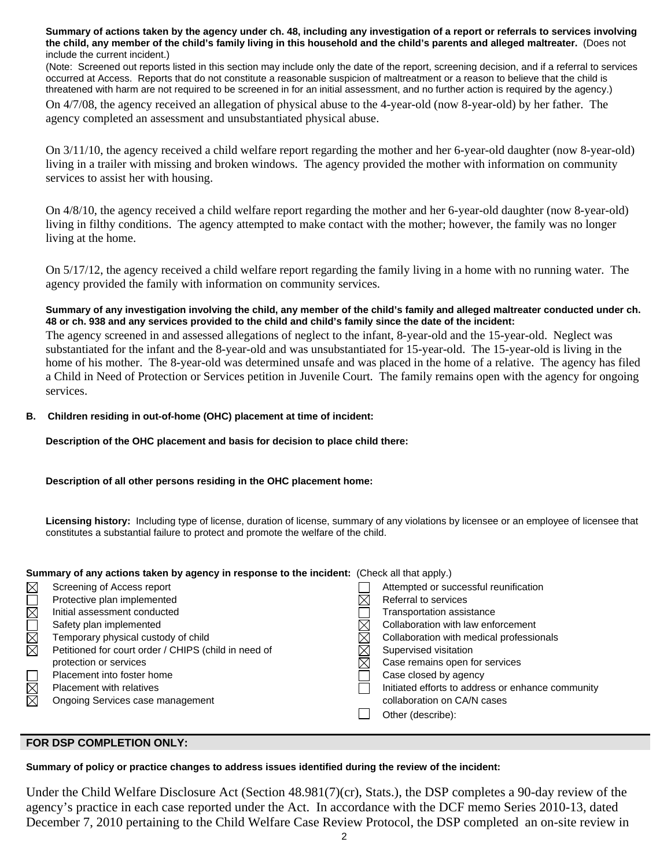**Summary of actions taken by the agency under ch. 48, including any investigation of a report or referrals to services involving the child, any member of the child's family living in this household and the child's parents and alleged maltreater.** (Does not include the current incident.)

(Note: Screened out reports listed in this section may include only the date of the report, screening decision, and if a referral to services occurred at Access. Reports that do not constitute a reasonable suspicion of maltreatment or a reason to believe that the child is threatened with harm are not required to be screened in for an initial assessment, and no further action is required by the agency.)

On 4/7/08, the agency received an allegation of physical abuse to the 4-year-old (now 8-year-old) by her father. The agency completed an assessment and unsubstantiated physical abuse.

On 3/11/10, the agency received a child welfare report regarding the mother and her 6-year-old daughter (now 8-year-old) living in a trailer with missing and broken windows. The agency provided the mother with information on community services to assist her with housing.

On 4/8/10, the agency received a child welfare report regarding the mother and her 6-year-old daughter (now 8-year-old) living in filthy conditions. The agency attempted to make contact with the mother; however, the family was no longer living at the home.

On 5/17/12, the agency received a child welfare report regarding the family living in a home with no running water. The agency provided the family with information on community services.

### **Summary of any investigation involving the child, any member of the child's family and alleged maltreater conducted under ch. 48 or ch. 938 and any services provided to the child and child's family since the date of the incident:**

The agency screened in and assessed allegations of neglect to the infant, 8-year-old and the 15-year-old. Neglect was substantiated for the infant and the 8-year-old and was unsubstantiated for 15-year-old. The 15-year-old is living in the home of his mother. The 8-year-old was determined unsafe and was placed in the home of a relative. The agency has filed a Child in Need of Protection or Services petition in Juvenile Court. The family remains open with the agency for ongoing services.

## **B. Children residing in out-of-home (OHC) placement at time of incident:**

**Description of the OHC placement and basis for decision to place child there:**

## **Description of all other persons residing in the OHC placement home:**

**Licensing history:** Including type of license, duration of license, summary of any violations by licensee or an employee of licensee that constitutes a substantial failure to protect and promote the welfare of the child.

#### **Summary of any actions taken by agency in response to the incident:** (Check all that apply.)

|             | Screening of Access report                           | Attempted or successful reunification             |
|-------------|------------------------------------------------------|---------------------------------------------------|
| MOX         | Protective plan implemented                          | Referral to services                              |
|             | Initial assessment conducted                         | Transportation assistance                         |
|             | Safety plan implemented                              | Collaboration with law enforcement                |
| ILBE        | Temporary physical custody of child                  | Collaboration with medical professionals          |
|             | Petitioned for court order / CHIPS (child in need of | Supervised visitation                             |
|             | protection or services                               | Case remains open for services                    |
|             | Placement into foster home                           | Case closed by agency                             |
| $\boxtimes$ | Placement with relatives                             | Initiated efforts to address or enhance community |
|             | Ongoing Services case management                     | collaboration on CA/N cases                       |
|             |                                                      | Other (describe):                                 |
|             |                                                      |                                                   |

## **FOR DSP COMPLETION ONLY:**

#### **Summary of policy or practice changes to address issues identified during the review of the incident:**

Under the Child Welfare Disclosure Act (Section 48.981(7)(cr), Stats.), the DSP completes a 90-day review of the agency's practice in each case reported under the Act. In accordance with the DCF memo Series 2010-13, dated December 7, 2010 pertaining to the Child Welfare Case Review Protocol, the DSP completed an on-site review in